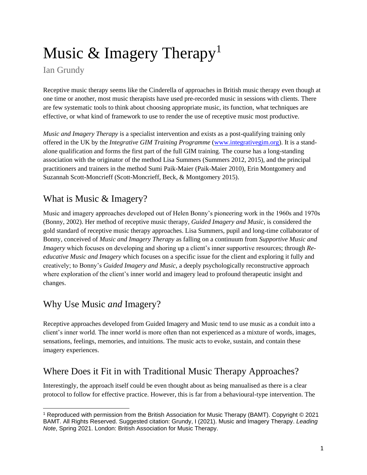# Music  $&$  Imagery Therapy<sup>1</sup>

### Ian Grundy

Receptive music therapy seems like the Cinderella of approaches in British music therapy even though at one time or another, most music therapists have used pre-recorded music in sessions with clients. There are few systematic tools to think about choosing appropriate music, its function, what techniques are effective, or what kind of framework to use to render the use of receptive music most productive.

*Music and Imagery Therapy* is a specialist intervention and exists as a post-qualifying training only offered in the UK by the *Integrative GIM Training Programme* [\(www.integrativegim.org\)](http://www.integrativegim.org/). It is a standalone qualification and forms the first part of the full GIM training. The course has a long-standing association with the originator of the method Lisa Summers (Summers 2012, 2015), and the principal practitioners and trainers in the method Sumi Paik-Maier (Paik-Maier 2010), Erin Montgomery and Suzannah Scott-Moncrieff (Scott-Moncrieff, Beck, & Montgomery 2015).

## What is Music & Imagery?

Music and imagery approaches developed out of Helen Bonny's pioneering work in the 1960s and 1970s (Bonny, 2002). Her method of receptive music therapy, *Guided Imagery and Music*, is considered the gold standard of receptive music therapy approaches. Lisa Summers, pupil and long-time collaborator of Bonny, conceived of *Music and Imagery Therapy* as falling on a continuum from *Supportive Music and Imagery* which focuses on developing and shoring up a client's inner supportive resources; through *Reeducative Music and Imagery* which focuses on a specific issue for the client and exploring it fully and creatively; to Bonny's *Guided Imagery and Music,* a deeply psychologically reconstructive approach where exploration of the client's inner world and imagery lead to profound therapeutic insight and changes.

## Why Use Music *and* Imagery?

Receptive approaches developed from Guided Imagery and Music tend to use music as a conduit into a client's inner world. The inner world is more often than not experienced as a mixture of words, images, sensations, feelings, memories, and intuitions. The music acts to evoke, sustain, and contain these imagery experiences.

## Where Does it Fit in with Traditional Music Therapy Approaches?

Interestingly, the approach itself could be even thought about as being manualised as there is a clear protocol to follow for effective practice. However, this is far from a behavioural-type intervention. The

<sup>1</sup> Reproduced with permission from the British Association for Music Therapy (BAMT). Copyright © 2021 BAMT. All Rights Reserved. Suggested citation: Grundy, I (2021). Music and Imagery Therapy. *Leading Note*, Spring 2021. London: British Association for Music Therapy.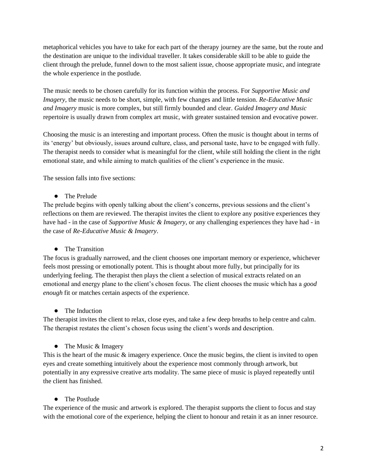metaphorical vehicles you have to take for each part of the therapy journey are the same, but the route and the destination are unique to the individual traveller. It takes considerable skill to be able to guide the client through the prelude, funnel down to the most salient issue, choose appropriate music, and integrate the whole experience in the postlude.

The music needs to be chosen carefully for its function within the process. For *Supportive Music and Imagery,* the music needs to be short, simple, with few changes and little tension. *Re-Educative Music and Imagery* music is more complex, but still firmly bounded and clear. *Guided Imagery and Music* repertoire is usually drawn from complex art music, with greater sustained tension and evocative power.

Choosing the music is an interesting and important process. Often the music is thought about in terms of its 'energy' but obviously, issues around culture, class, and personal taste, have to be engaged with fully. The therapist needs to consider what is meaningful for the client, while still holding the client in the right emotional state, and while aiming to match qualities of the client's experience in the music.

The session falls into five sections:

**●** The Prelude

The prelude begins with openly talking about the client's concerns, previous sessions and the client's reflections on them are reviewed. The therapist invites the client to explore any positive experiences they have had - in the case of *Supportive Music & Imagery*, or any challenging experiences they have had - in the case of *Re-Educative Music & Imagery*.

#### **●** The Transition

The focus is gradually narrowed, and the client chooses one important memory or experience, whichever feels most pressing or emotionally potent. This is thought about more fully, but principally for its underlying feeling. The therapist then plays the client a selection of musical extracts related on an emotional and energy plane to the client's chosen focus. The client chooses the music which has a *good enough* fit or matches certain aspects of the experience.

#### **●** The Induction

The therapist invites the client to relax, close eyes, and take a few deep breaths to help centre and calm. The therapist restates the client's chosen focus using the client's words and description.

#### **●** The Music & Imagery

This is the heart of the music  $\&$  imagery experience. Once the music begins, the client is invited to open eyes and create something intuitively about the experience most commonly through artwork, but potentially in any expressive creative arts modality. The same piece of music is played repeatedly until the client has finished.

#### **●** The Postlude

The experience of the music and artwork is explored. The therapist supports the client to focus and stay with the emotional core of the experience, helping the client to honour and retain it as an inner resource.